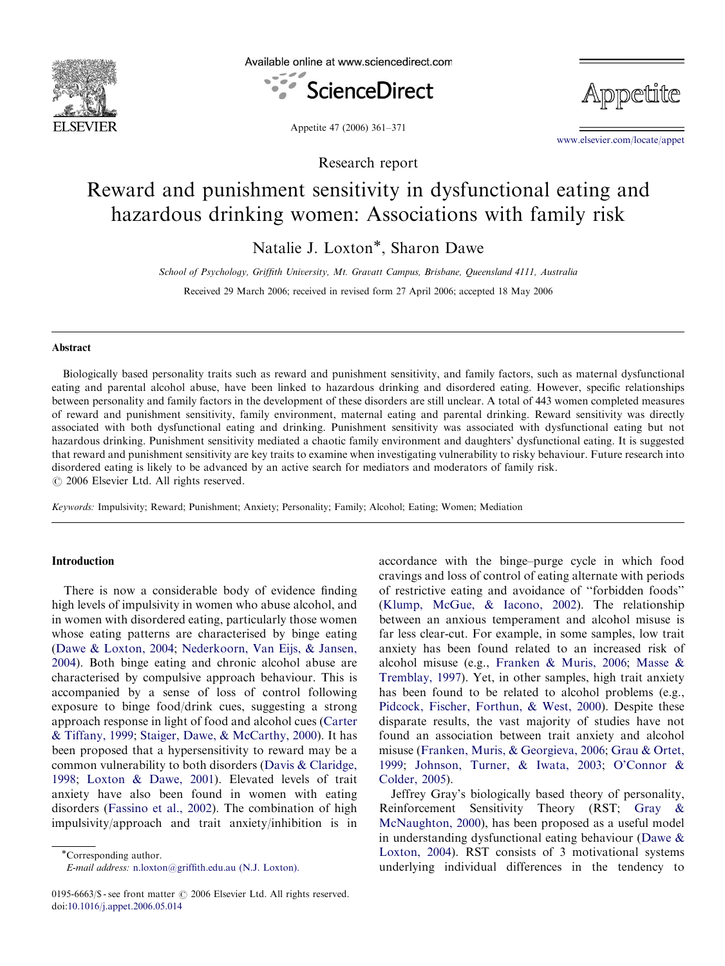

Available online at www.sciencedirect.com





Appetite 47 (2006) 361–371

<www.elsevier.com/locate/appet>

Research report

## Reward and punishment sensitivity in dysfunctional eating and hazardous drinking women: Associations with family risk

Natalie J. Loxton\*, Sharon Dawe

School of Psychology, Griffith University, Mt. Gravatt Campus, Brisbane, Queensland 4111, Australia

Received 29 March 2006; received in revised form 27 April 2006; accepted 18 May 2006

## Abstract

Biologically based personality traits such as reward and punishment sensitivity, and family factors, such as maternal dysfunctional eating and parental alcohol abuse, have been linked to hazardous drinking and disordered eating. However, specific relationships between personality and family factors in the development of these disorders are still unclear. A total of 443 women completed measures of reward and punishment sensitivity, family environment, maternal eating and parental drinking. Reward sensitivity was directly associated with both dysfunctional eating and drinking. Punishment sensitivity was associated with dysfunctional eating but not hazardous drinking. Punishment sensitivity mediated a chaotic family environment and daughters' dysfunctional eating. It is suggested that reward and punishment sensitivity are key traits to examine when investigating vulnerability to risky behaviour. Future research into disordered eating is likely to be advanced by an active search for mediators and moderators of family risk.  $\odot$  2006 Elsevier Ltd. All rights reserved.

Keywords: Impulsivity; Reward; Punishment; Anxiety; Personality; Family; Alcohol; Eating; Women; Mediation

## Introduction

There is now a considerable body of evidence finding high levels of impulsivity in women who abuse alcohol, and in women with disordered eating, particularly those women whose eating patterns are characterised by binge eating ([Dawe](#page--1-0) & [Loxton, 2004](#page--1-0); [Nederkoorn, Van Eijs,](#page--1-0) & [Jansen,](#page--1-0) [2004](#page--1-0)). Both binge eating and chronic alcohol abuse are characterised by compulsive approach behaviour. This is accompanied by a sense of loss of control following exposure to binge food/drink cues, suggesting a strong approach response in light of food and alcohol cues [\(Carter](#page--1-0) [& Tiffany, 1999;](#page--1-0) [Staiger, Dawe, & McCarthy, 2000\)](#page--1-0). It has been proposed that a hypersensitivity to reward may be a common vulnerability to both disorders [\(Davis](#page--1-0) [& Claridge,](#page--1-0) [1998](#page--1-0); [Loxton & Dawe, 2001](#page--1-0)). Elevated levels of trait anxiety have also been found in women with eating disorders ([Fassino et al., 2002](#page--1-0)). The combination of high impulsivity/approach and trait anxiety/inhibition is in

Corresponding author.

E-mail address: [n.loxton@griffith.edu.au \(N.J. Loxton\).](mailto:n.loxton@griffith.edu.au)

accordance with the binge–purge cycle in which food cravings and loss of control of eating alternate with periods of restrictive eating and avoidance of ''forbidden foods'' ([Klump, McGue,](#page--1-0) & [Iacono, 2002\)](#page--1-0). The relationship between an anxious temperament and alcohol misuse is far less clear-cut. For example, in some samples, low trait anxiety has been found related to an increased risk of alcohol misuse (e.g., [Franken & Muris, 2006](#page--1-0); [Masse &](#page--1-0) [Tremblay, 1997\)](#page--1-0). Yet, in other samples, high trait anxiety has been found to be related to alcohol problems (e.g., [Pidcock, Fischer, Forthun, & West, 2000](#page--1-0)). Despite these disparate results, the vast majority of studies have not found an association between trait anxiety and alcohol misuse ([Franken, Muris,](#page--1-0) & [Georgieva, 2006](#page--1-0); [Grau](#page--1-0) & [Ortet,](#page--1-0) [1999](#page--1-0); [Johnson, Turner,](#page--1-0) & [Iwata, 2003;](#page--1-0) [O'Connor &](#page--1-0) [Colder, 2005\)](#page--1-0).

Jeffrey Gray's biologically based theory of personality, Reinforcement Sensitivity Theory (RST; [Gray &](#page--1-0) [McNaughton, 2000](#page--1-0)), has been proposed as a useful model in understanding dysfunctional eating behaviour ([Dawe &](#page--1-0) [Loxton, 2004\)](#page--1-0). RST consists of 3 motivational systems underlying individual differences in the tendency to

<sup>0195-6663/\$ -</sup> see front matter  $\odot$  2006 Elsevier Ltd. All rights reserved. doi:[10.1016/j.appet.2006.05.014](dx.doi.org/10.1016/j.appet.2006.05.014)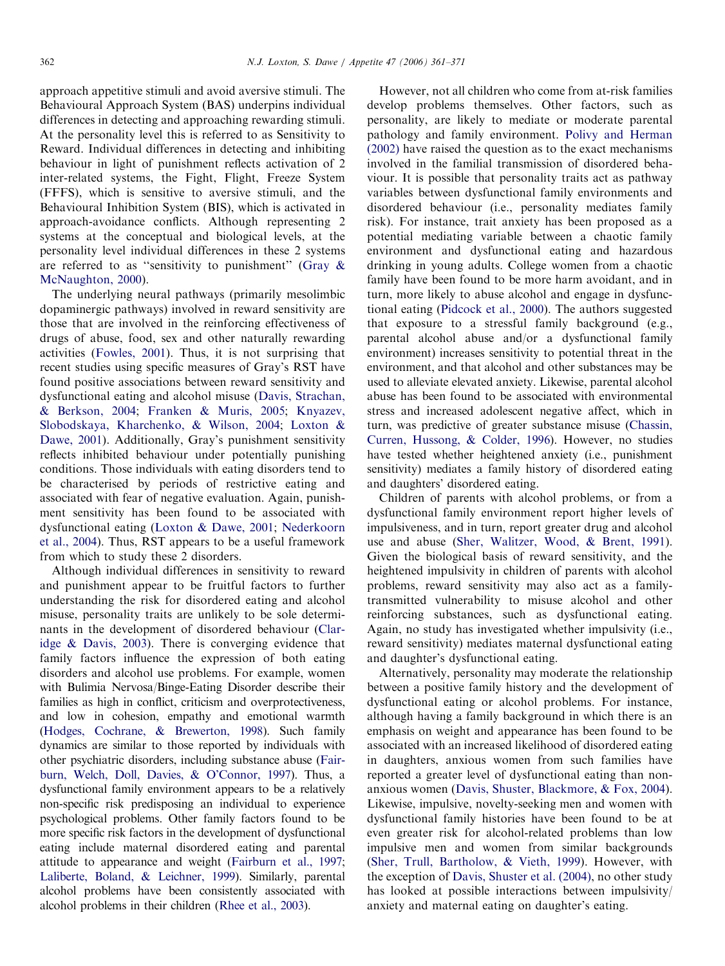approach appetitive stimuli and avoid aversive stimuli. The Behavioural Approach System (BAS) underpins individual differences in detecting and approaching rewarding stimuli. At the personality level this is referred to as Sensitivity to Reward. Individual differences in detecting and inhibiting behaviour in light of punishment reflects activation of 2 inter-related systems, the Fight, Flight, Freeze System (FFFS), which is sensitive to aversive stimuli, and the Behavioural Inhibition System (BIS), which is activated in approach-avoidance conflicts. Although representing 2 systems at the conceptual and biological levels, at the personality level individual differences in these 2 systems are referred to as ''sensitivity to punishment'' ([Gray](#page--1-0) & [McNaughton, 2000\)](#page--1-0).

The underlying neural pathways (primarily mesolimbic dopaminergic pathways) involved in reward sensitivity are those that are involved in the reinforcing effectiveness of drugs of abuse, food, sex and other naturally rewarding activities [\(Fowles, 2001\)](#page--1-0). Thus, it is not surprising that recent studies using specific measures of Gray's RST have found positive associations between reward sensitivity and dysfunctional eating and alcohol misuse [\(Davis, Strachan,](#page--1-0) [& Berkson, 2004;](#page--1-0) [Franken](#page--1-0) [& Muris, 2005](#page--1-0); [Knyazev,](#page--1-0) [Slobodskaya, Kharchenko, & Wilson, 2004](#page--1-0); [Loxton](#page--1-0) & [Dawe, 2001](#page--1-0)). Additionally, Gray's punishment sensitivity reflects inhibited behaviour under potentially punishing conditions. Those individuals with eating disorders tend to be characterised by periods of restrictive eating and associated with fear of negative evaluation. Again, punishment sensitivity has been found to be associated with dysfunctional eating [\(Loxton](#page--1-0) [& Dawe, 2001](#page--1-0); [Nederkoorn](#page--1-0) [et al., 2004\)](#page--1-0). Thus, RST appears to be a useful framework from which to study these 2 disorders.

Although individual differences in sensitivity to reward and punishment appear to be fruitful factors to further understanding the risk for disordered eating and alcohol misuse, personality traits are unlikely to be sole determinants in the development of disordered behaviour ([Clar](#page--1-0)[idge](#page--1-0) [& Davis, 2003\)](#page--1-0). There is converging evidence that family factors influence the expression of both eating disorders and alcohol use problems. For example, women with Bulimia Nervosa/Binge-Eating Disorder describe their families as high in conflict, criticism and overprotectiveness, and low in cohesion, empathy and emotional warmth [\(Hodges, Cochrane,](#page--1-0) [& Brewerton, 1998](#page--1-0)). Such family dynamics are similar to those reported by individuals with other psychiatric disorders, including substance abuse [\(Fair](#page--1-0)[burn, Welch, Doll, Davies, & O'Connor, 1997\)](#page--1-0). Thus, a dysfunctional family environment appears to be a relatively non-specific risk predisposing an individual to experience psychological problems. Other family factors found to be more specific risk factors in the development of dysfunctional eating include maternal disordered eating and parental attitude to appearance and weight [\(Fairburn et al., 1997](#page--1-0); [Laliberte, Boland,](#page--1-0) & [Leichner, 1999](#page--1-0)). Similarly, parental alcohol problems have been consistently associated with alcohol problems in their children ([Rhee et al., 2003\)](#page--1-0).

However, not all children who come from at-risk families develop problems themselves. Other factors, such as personality, are likely to mediate or moderate parental pathology and family environment. [Polivy and Herman](#page--1-0) [\(2002\)](#page--1-0) have raised the question as to the exact mechanisms involved in the familial transmission of disordered behaviour. It is possible that personality traits act as pathway variables between dysfunctional family environments and disordered behaviour (i.e., personality mediates family risk). For instance, trait anxiety has been proposed as a potential mediating variable between a chaotic family environment and dysfunctional eating and hazardous drinking in young adults. College women from a chaotic family have been found to be more harm avoidant, and in turn, more likely to abuse alcohol and engage in dysfunctional eating [\(Pidcock et al., 2000\)](#page--1-0). The authors suggested that exposure to a stressful family background (e.g., parental alcohol abuse and/or a dysfunctional family environment) increases sensitivity to potential threat in the environment, and that alcohol and other substances may be used to alleviate elevated anxiety. Likewise, parental alcohol abuse has been found to be associated with environmental stress and increased adolescent negative affect, which in turn, was predictive of greater substance misuse [\(Chassin,](#page--1-0) [Curren, Hussong,](#page--1-0) [& Colder, 1996\)](#page--1-0). However, no studies have tested whether heightened anxiety (i.e., punishment sensitivity) mediates a family history of disordered eating and daughters' disordered eating.

Children of parents with alcohol problems, or from a dysfunctional family environment report higher levels of impulsiveness, and in turn, report greater drug and alcohol use and abuse [\(Sher, Walitzer, Wood, & Brent, 1991\)](#page--1-0). Given the biological basis of reward sensitivity, and the heightened impulsivity in children of parents with alcohol problems, reward sensitivity may also act as a familytransmitted vulnerability to misuse alcohol and other reinforcing substances, such as dysfunctional eating. Again, no study has investigated whether impulsivity (i.e., reward sensitivity) mediates maternal dysfunctional eating and daughter's dysfunctional eating.

Alternatively, personality may moderate the relationship between a positive family history and the development of dysfunctional eating or alcohol problems. For instance, although having a family background in which there is an emphasis on weight and appearance has been found to be associated with an increased likelihood of disordered eating in daughters, anxious women from such families have reported a greater level of dysfunctional eating than nonanxious women [\(Davis, Shuster, Blackmore, & Fox, 2004\)](#page--1-0). Likewise, impulsive, novelty-seeking men and women with dysfunctional family histories have been found to be at even greater risk for alcohol-related problems than low impulsive men and women from similar backgrounds [\(Sher, Trull, Bartholow, & Vieth, 1999](#page--1-0)). However, with the exception of [Davis, Shuster et al. \(2004\),](#page--1-0) no other study has looked at possible interactions between impulsivity/ anxiety and maternal eating on daughter's eating.